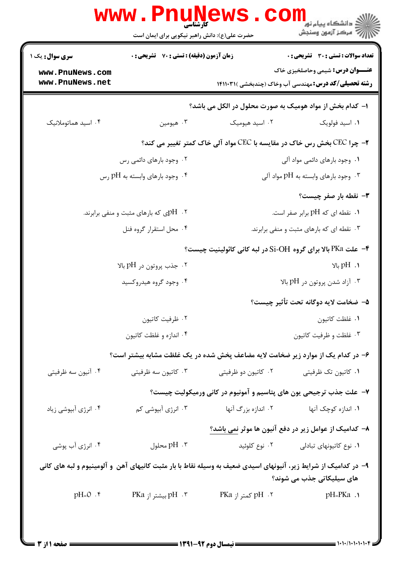|                                        | www . Pn<br>کارشناسی<br>حضرت علی(ع): دانش راهبر نیکویی برای ایمان است  |                                                                                                                 | د دانشگاه پیام نور<br>ا∛ مرکز آزمون وسنجش                                                              |  |  |
|----------------------------------------|------------------------------------------------------------------------|-----------------------------------------------------------------------------------------------------------------|--------------------------------------------------------------------------------------------------------|--|--|
| <b>سری سوال :</b> یک ۱                 | <b>زمان آزمون (دقیقه) : تستی : 70 قشریحی : 0</b>                       |                                                                                                                 | تعداد سوالات : تستي : 30 ٪ تشريحي : 0                                                                  |  |  |
| www.PnuNews.com<br>www.PnuNews.net     |                                                                        |                                                                                                                 | <b>عنـــوان درس:</b> شیمی وحاصلخیزی خاک<br><b>رشته تحصیلی/کد درس:</b> مهندسی آب وخاک (چندبخشی )۱۴۱۱۰۳۱ |  |  |
|                                        | ا– کدام بخش از مواد هومیک به صورت محلول در الکل می باشد؟               |                                                                                                                 |                                                                                                        |  |  |
| ۰۴ اسید هماتوملانیک                    | ۰۳ هيومين                                                              | ۰۲ اسید هیومیک                                                                                                  | ۰۱ اسید فولویک                                                                                         |  |  |
|                                        | ۲- چرا CEC بخش رس خاک در مقایسه با CEC مواد آلی خاک کمتر تغییر می کند؟ |                                                                                                                 |                                                                                                        |  |  |
| ۰۲ وجود بارهای دائمی رس                |                                                                        | ۰۱ وجود بارهای دائمی مواد آلی                                                                                   |                                                                                                        |  |  |
| ۰۴ وجود بارهای وابسته به $\rm{pH}$ رس  |                                                                        | ۰۳ وجود بارهای وابسته به $\rm pH$ مواد آلی $\cdot$                                                              |                                                                                                        |  |  |
|                                        |                                                                        |                                                                                                                 | <b>۳</b> - نقطه بار صفر چیست؟                                                                          |  |  |
| ۲. pHی که بارهای مثبت و منفی برابرند.  |                                                                        | ۰۱ نقطه ای که pH برابر صفر است.                                                                                 |                                                                                                        |  |  |
|                                        | ۰۴ محل استقرار گروه فنل                                                | ۰۳ نقطه ای که بارهای مثبت و منفی برابرند.                                                                       |                                                                                                        |  |  |
|                                        |                                                                        | ۴- علت PKa بالا برای گروه Si-OH در لبه کانی کائولینیت چیست؟                                                     |                                                                                                        |  |  |
| ۰۲ جذب پروتون در $\rm pH$ بالا $\cdot$ |                                                                        | $P$ H . 1                                                                                                       |                                                                                                        |  |  |
|                                        | ۰۴ وجود گروه هیدروکسید                                                 | ۰۳ آزاد شدن پروتون در $\rm{pH}$ بالا $\cdot$                                                                    |                                                                                                        |  |  |
|                                        |                                                                        |                                                                                                                 | ۵– ضخامت لايه دوگانه تحت تأثير چيست؟                                                                   |  |  |
|                                        | ۰۲ ظرفیت کاتیون                                                        | ٠١ غلظت كاتيون                                                                                                  |                                                                                                        |  |  |
|                                        | ۰۴ اندازه و غلظت کاتیون                                                | ۰۳ غلظت و ظرفیت کاتیون                                                                                          |                                                                                                        |  |  |
|                                        |                                                                        | ۶– در کدام یک از موارد زیر ضخامت لایه مضاعف پخش شده در یک غلظت مشابه بیشتر است؟                                 |                                                                                                        |  |  |
| ۰۴ آنیون سه ظرفیتی                     | ۰۳ کاتیون سه ظرفیتی                                                    | ۰۲ کاتیون دو ظرفیتی                                                                                             | ۰۱ کاتیون تک ظرفیتی                                                                                    |  |  |
|                                        | ۷– علت جذب ترجیحی یون های پتاسیم و آمونیوم در کانی ورمیکولیت چیست؟     |                                                                                                                 |                                                                                                        |  |  |
| ۰۴ انرژی آبپوشی زیاد                   | ۰۳ انرژی آبپوشی کم                                                     | ۲. اندازه بزرگ آنها                                                                                             | ۰۱ اندازه کوچک آنها                                                                                    |  |  |
|                                        |                                                                        | ۸– کدامیک از عوامل زیر در دفع آنیون ها موثر نمی باشد؟                                                           |                                                                                                        |  |  |
| ۰۴ انرژی آب پوشی                       | pH .۳ محلول                                                            | ۰۲ نوع کلوئید                                                                                                   | ٠١ نوع كاتيونهاى تبادلى                                                                                |  |  |
|                                        |                                                                        | ۹- در کدامیک از شرایط زیر، آنیونهای اسیدی ضعیف به وسیله نقاط با بار مثبت کانیهای آهن و آلومینیوم و لبه های کانی |                                                                                                        |  |  |
|                                        |                                                                        |                                                                                                                 | های سیلیکاتی جذب می شوند؟                                                                              |  |  |
| $pH=0$ .۴                              | pH   .۳ بیشتر از PKa                                                   | PKa  کمتر از PKa                                                                                                | $pH = PKa.$                                                                                            |  |  |
|                                        |                                                                        |                                                                                                                 |                                                                                                        |  |  |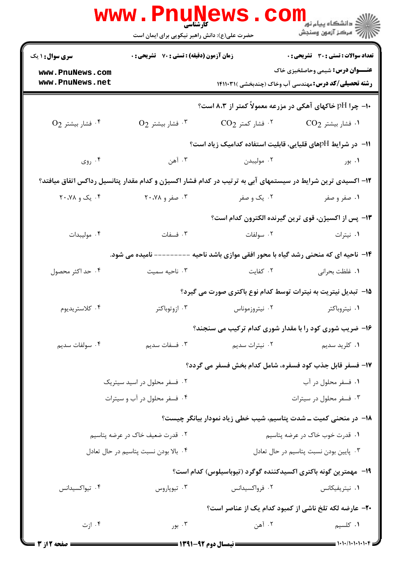|                                        | <b>www.Pnunews</b><br>حضرت علی(ع): دانش راهبر نیکویی برای ایمان است |                                                                                                             | الاستگاه پيام نور<br>الاستگاه پيام نور<br>الاستگاه مرکز آزمون وسنجش                                                                                                                                                                                                                                                                                                                                                   |
|----------------------------------------|---------------------------------------------------------------------|-------------------------------------------------------------------------------------------------------------|-----------------------------------------------------------------------------------------------------------------------------------------------------------------------------------------------------------------------------------------------------------------------------------------------------------------------------------------------------------------------------------------------------------------------|
| <b>سری سوال : ۱ یک</b>                 | زمان آزمون (دقیقه) : تستی : 70 گشریحی : 0                           |                                                                                                             | <b>تعداد سوالات : تستي : 30 - تشريحي : 0</b>                                                                                                                                                                                                                                                                                                                                                                          |
| www.PnuNews.com<br>www.PnuNews.net     |                                                                     |                                                                                                             | <b>عنـــوان درس:</b> شیمی وحاصلخیزی خاک<br><b>رشته تحصیلی/کد درس:</b> مهندسی آب وخاک (چندبخشی )۱۴۱۱۰۳۱                                                                                                                                                                                                                                                                                                                |
|                                        |                                                                     | ۰۱- چرا pH خاکهای آهکی در مزرعه معمولاً کمتر از ۸،۳ است؟                                                    |                                                                                                                                                                                                                                                                                                                                                                                                                       |
| $O_2$ فشار بيشتر $\cdot^{\mathfrak k}$ | $O_2$ فشار بيشتر $\cdot^{\mathsf{r}}$                               | $\rm CO_2$ فشار کمتر $\cdot$ $^\circ$                                                                       | $\rm CO_2$ ۱۰ فشار بیشتر $\cdot$                                                                                                                                                                                                                                                                                                                                                                                      |
|                                        |                                                                     | ا1− در شرایط pHهای قلیایی، قابلیت استفاده کدامیک زیاد است؟                                                  |                                                                                                                                                                                                                                                                                                                                                                                                                       |
| ۰۴ روی                                 | ۰۳ آهن                                                              | ۰۲ مولیبدن                                                                                                  | ۰۱ بور                                                                                                                                                                                                                                                                                                                                                                                                                |
|                                        |                                                                     | ۱۲– اکسیدی ترین شرایط در سیستمهای آبی به ترتیب در کدام فشار اکسیژن و کدام مقدار پتانسیل رداکس اتفاق میافتد؟ |                                                                                                                                                                                                                                                                                                                                                                                                                       |
| ۰۴ یک و ۲۰،۷۸                          | ۰۳ صفر و ۲۰،۷۸                                                      | ۰۲ یک و صفر                                                                                                 | ۰۱ صفر و صفر                                                                                                                                                                                                                                                                                                                                                                                                          |
|                                        |                                                                     |                                                                                                             | ۱۳- پس از اکسیژن، قوی ترین گیرنده الکترون کدام است؟                                                                                                                                                                                                                                                                                                                                                                   |
| ۰۴ مولیبدات                            | ۰۳ فسفات                                                            | ۰۲ سولفات                                                                                                   | ۰۱ نیترات                                                                                                                                                                                                                                                                                                                                                                                                             |
|                                        | -------- نامیده می شود.                                             | ۱۴– ناحیه ای که منحنی رشد گیاه با محور افقی موازی باشد ناحیه -                                              |                                                                                                                                                                                                                                                                                                                                                                                                                       |
| ۰۴ حد اکثر محصول                       | ۰۳ ناحیه سمیت                                                       | ۰۲ کفایت                                                                                                    | ۰۱ غلظت بحراني                                                                                                                                                                                                                                                                                                                                                                                                        |
|                                        |                                                                     | 1۵– تبدیل نیتریت به نیترات توسط کدام نوع باکتری صورت می گیرد؟                                               |                                                                                                                                                                                                                                                                                                                                                                                                                       |
| ۰۴ كلاستريديوم                         | ۰۳ ازوتوباکتر                                                       | ۰۲ نیتروزموناس                                                                                              | ۰۱ نیتروباکتر                                                                                                                                                                                                                                                                                                                                                                                                         |
|                                        |                                                                     | ۱۶- ضریب شوری کود را با مقدار شوری کدام ترکیب می سنجند؟                                                     |                                                                                                                                                                                                                                                                                                                                                                                                                       |
| ۰۴ سولفات سديم                         | ۰۳ فسفات سديم                                                       | ۰۲ نیترات سدیم                                                                                              | ۰۱ کلريد سديم                                                                                                                                                                                                                                                                                                                                                                                                         |
|                                        |                                                                     | 17- فسفر قابل جذب کود فسفره، شامل کدام بخش فسفر می گردد؟                                                    |                                                                                                                                                                                                                                                                                                                                                                                                                       |
|                                        | ۰۲ فسفر محلول در اسید سیتریک                                        |                                                                                                             | ۰۱ فسفر محلول در آب                                                                                                                                                                                                                                                                                                                                                                                                   |
| ۰۴ فسفر محلول در آب و سیترات           |                                                                     |                                                                                                             | ۰۳ فسفر محلول در سیترات                                                                                                                                                                                                                                                                                                                                                                                               |
|                                        |                                                                     | ۱۸– در منحنی کمیت ــ شدت پتاسیم، شیب خطی زیاد نمودار بیانگر چیست؟                                           |                                                                                                                                                                                                                                                                                                                                                                                                                       |
| ۲.  قدرت ضعیف خاک در عرضه پتاسیم       |                                                                     | ۰۱ قدرت خوب خاک در عرضه پتاسیم                                                                              |                                                                                                                                                                                                                                                                                                                                                                                                                       |
| ۰۴ بالا بودن نسبت پتاسیم در حال تعادل  |                                                                     |                                                                                                             | ۰۳ پایین بودن نسبت پتاسیم در حال تعادل                                                                                                                                                                                                                                                                                                                                                                                |
|                                        |                                                                     | ۱۹-   مهمترین گونه باکتری اکسیدکننده گوگرد (تیوباسیلوس) کدام است؟                                           |                                                                                                                                                                                                                                                                                                                                                                                                                       |
| ۰۴ تیواکسیدانس                         | ۰۳ تيوپاروس                                                         | ۰۲ فرواکسیدانس                                                                                              | ۰۱ نیتریفیکانس                                                                                                                                                                                                                                                                                                                                                                                                        |
|                                        |                                                                     |                                                                                                             | -۲- عارضه لکه تلخ ناشی از کمبود کدام یک از عناصر است؟                                                                                                                                                                                                                                                                                                                                                                 |
| ۰۴ ازت                                 | ۰۳ بور                                                              | ۰۲ آهن                                                                                                      | ٠١ كلسيم                                                                                                                                                                                                                                                                                                                                                                                                              |
| = صفحه 2 از 3 <b>=</b>                 |                                                                     | ــــــــــ نیمسال دوم ۹۲-۱۳۹۱ ـــــ                                                                         | $\frac{1}{1-\frac{1}{1-\frac{1}{1-\frac{1}{1-\frac{1}{1-\frac{1}{1-\frac{1}{1-\frac{1}{1-\frac{1}{1-\frac{1}{1-\frac{1}{1-\frac{1}{1-\frac{1}{1-\frac{1}{1-\frac{1}{1-\frac{1}{1-\frac{1}{1-\frac{1}{1-\frac{1}{1-\frac{1}{1-\frac{1}{1-\frac{1}{1-\frac{1}{1-\frac{1}{1-\frac{1}{1-\frac{1}{1-\frac{1}{1-\frac{1}{1-\frac{1}{1-\frac{1}{1-\frac{1}{1-\frac{1}{1-\frac{1}{1-\frac{1}{1-\frac{1}{1-\frac{1}{1-\frac{1$ |